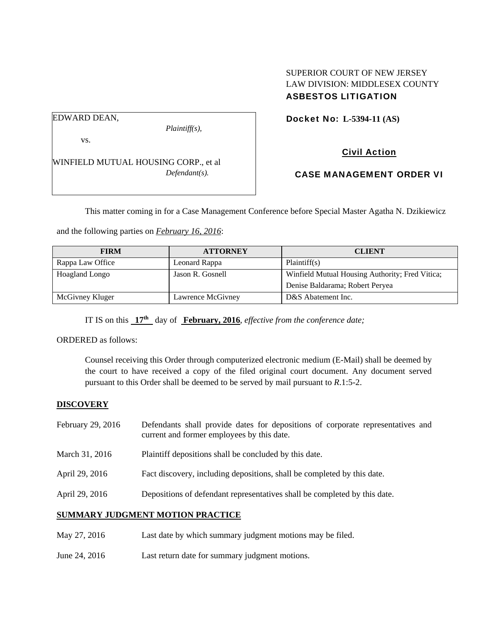# ASBESTOS LITIGATION

# EDWARD DEAN,

vs.

*Plaintiff(s),* 

Civil Action

SUPERIOR COURT OF NEW JERSEY LAW DIVISION: MIDDLESEX COUNTY

Docket No: **L-5394-11 (AS)** 

WINFIELD MUTUAL HOUSING CORP., et al *Defendant(s).* 

CASE MANAGEMENT ORDER VI

This matter coming in for a Case Management Conference before Special Master Agatha N. Dzikiewicz

and the following parties on *February 16, 2016*:

| <b>FIRM</b>      | <b>ATTORNEY</b>   | <b>CLIENT</b>                                   |
|------------------|-------------------|-------------------------------------------------|
| Rappa Law Office | Leonard Rappa     | Plaintiff(s)                                    |
| Hoagland Longo   | Jason R. Gosnell  | Winfield Mutual Housing Authority; Fred Vitica; |
|                  |                   | Denise Baldarama; Robert Peryea                 |
| McGivney Kluger  | Lawrence McGivney | D&S Abatement Inc.                              |

IT IS on this **17th** day of **February, 2016**, *effective from the conference date;*

ORDERED as follows:

Counsel receiving this Order through computerized electronic medium (E-Mail) shall be deemed by the court to have received a copy of the filed original court document. Any document served pursuant to this Order shall be deemed to be served by mail pursuant to *R*.1:5-2.

# **DISCOVERY**

| February 29, 2016                       | Defendants shall provide dates for depositions of corporate representatives and<br>current and former employees by this date. |  |
|-----------------------------------------|-------------------------------------------------------------------------------------------------------------------------------|--|
| March 31, 2016                          | Plaintiff depositions shall be concluded by this date.                                                                        |  |
| April 29, 2016                          | Fact discovery, including depositions, shall be completed by this date.                                                       |  |
| April 29, 2016                          | Depositions of defendant representatives shall be completed by this date.                                                     |  |
| <b>SUMMARY JUDGMENT MOTION PRACTICE</b> |                                                                                                                               |  |

- May 27, 2016 Last date by which summary judgment motions may be filed.
- June 24, 2016 Last return date for summary judgment motions.